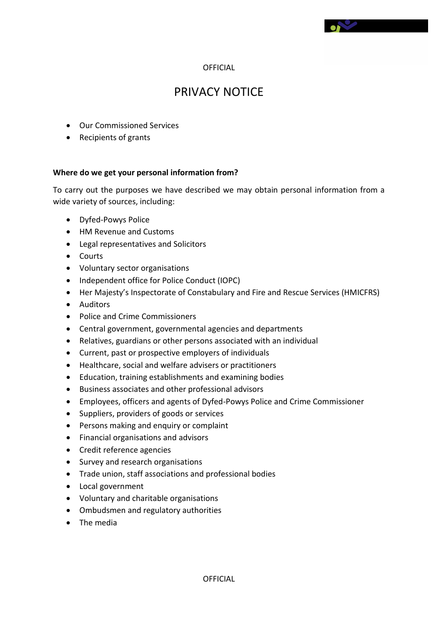# PRIVACY NOTICE

- Our Commissioned Services
- Recipients of grants

#### **Where do we get your personal information from?**

To carry out the purposes we have described we may obtain personal information from a wide variety of sources, including:

- Dyfed-Powys Police
- HM Revenue and Customs
- Legal representatives and Solicitors
- Courts
- Voluntary sector organisations
- Independent office for Police Conduct (IOPC)
- Her Majesty's Inspectorate of Constabulary and Fire and Rescue Services (HMICFRS)
- **•** Auditors
- Police and Crime Commissioners
- Central government, governmental agencies and departments
- Relatives, guardians or other persons associated with an individual
- Current, past or prospective employers of individuals
- Healthcare, social and welfare advisers or practitioners
- Education, training establishments and examining bodies
- Business associates and other professional advisors
- Employees, officers and agents of Dyfed-Powys Police and Crime Commissioner
- Suppliers, providers of goods or services
- Persons making and enquiry or complaint
- Financial organisations and advisors
- Credit reference agencies
- Survey and research organisations
- Trade union, staff associations and professional bodies
- Local government
- Voluntary and charitable organisations
- Ombudsmen and regulatory authorities
- The media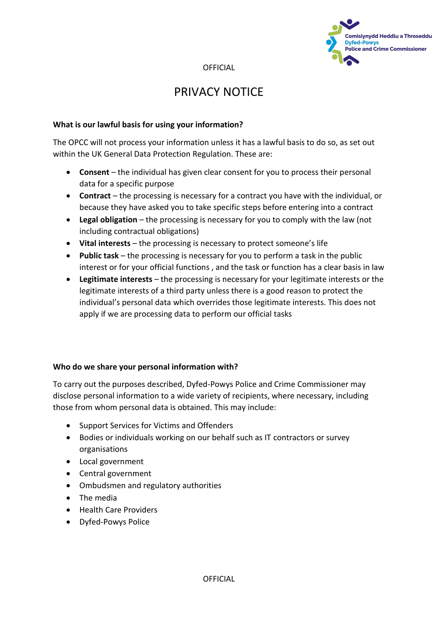

## PRIVACY NOTICE

#### **What is our lawful basis for using your information?**

The OPCC will not process your information unless it has a lawful basis to do so, as set out within the UK General Data Protection Regulation. These are:

- **Consent**  the individual has given clear consent for you to process their personal data for a specific purpose
- **Contract** the processing is necessary for a contract you have with the individual, or because they have asked you to take specific steps before entering into a contract
- **Legal obligation** the processing is necessary for you to comply with the law (not including contractual obligations)
- **Vital interests** the processing is necessary to protect someone's life
- **Public task** the processing is necessary for you to perform a task in the public interest or for your official functions , and the task or function has a clear basis in law
- **Legitimate interests** the processing is necessary for your legitimate interests or the legitimate interests of a third party unless there is a good reason to protect the individual's personal data which overrides those legitimate interests. This does not apply if we are processing data to perform our official tasks

### **Who do we share your personal information with?**

To carry out the purposes described, Dyfed-Powys Police and Crime Commissioner may disclose personal information to a wide variety of recipients, where necessary, including those from whom personal data is obtained. This may include:

- Support Services for Victims and Offenders
- Bodies or individuals working on our behalf such as IT contractors or survey organisations
- Local government
- Central government
- Ombudsmen and regulatory authorities
- The media
- Health Care Providers
- Dyfed-Powys Police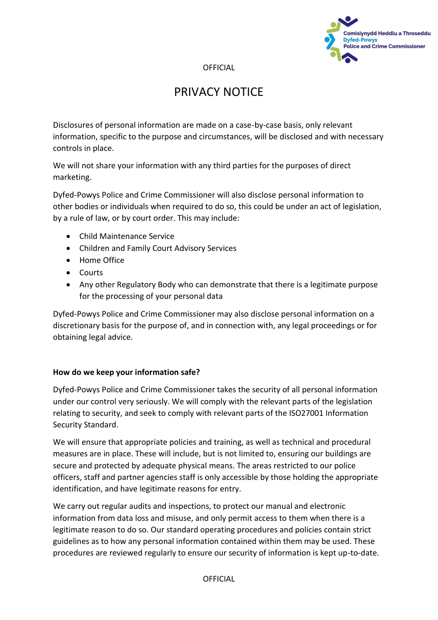

# PRIVACY NOTICE

Disclosures of personal information are made on a case-by-case basis, only relevant information, specific to the purpose and circumstances, will be disclosed and with necessary controls in place.

We will not share your information with any third parties for the purposes of direct marketing.

Dyfed-Powys Police and Crime Commissioner will also disclose personal information to other bodies or individuals when required to do so, this could be under an act of legislation, by a rule of law, or by court order. This may include:

- Child Maintenance Service
- Children and Family Court Advisory Services
- Home Office
- Courts
- Any other Regulatory Body who can demonstrate that there is a legitimate purpose for the processing of your personal data

Dyfed-Powys Police and Crime Commissioner may also disclose personal information on a discretionary basis for the purpose of, and in connection with, any legal proceedings or for obtaining legal advice.

### **How do we keep your information safe?**

Dyfed-Powys Police and Crime Commissioner takes the security of all personal information under our control very seriously. We will comply with the relevant parts of the legislation relating to security, and seek to comply with relevant parts of the ISO27001 Information Security Standard.

We will ensure that appropriate policies and training, as well as technical and procedural measures are in place. These will include, but is not limited to, ensuring our buildings are secure and protected by adequate physical means. The areas restricted to our police officers, staff and partner agencies staff is only accessible by those holding the appropriate identification, and have legitimate reasons for entry.

We carry out regular audits and inspections, to protect our manual and electronic information from data loss and misuse, and only permit access to them when there is a legitimate reason to do so. Our standard operating procedures and policies contain strict guidelines as to how any personal information contained within them may be used. These procedures are reviewed regularly to ensure our security of information is kept up-to-date.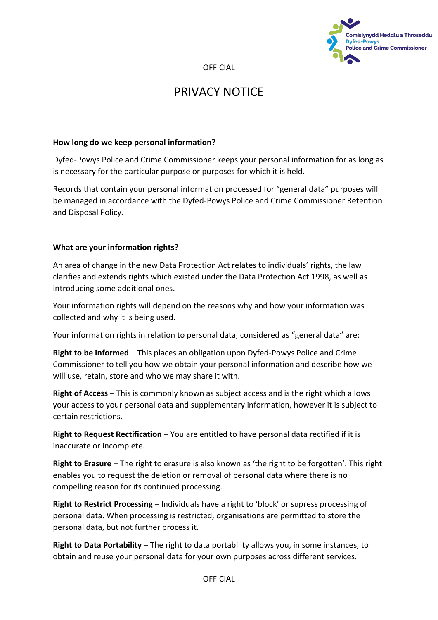

## PRIVACY NOTICE

#### **How long do we keep personal information?**

Dyfed-Powys Police and Crime Commissioner keeps your personal information for as long as is necessary for the particular purpose or purposes for which it is held.

Records that contain your personal information processed for "general data" purposes will be managed in accordance with the Dyfed-Powys Police and Crime Commissioner Retention and Disposal Policy.

### **What are your information rights?**

An area of change in the new Data Protection Act relates to individuals' rights, the law clarifies and extends rights which existed under the Data Protection Act 1998, as well as introducing some additional ones.

Your information rights will depend on the reasons why and how your information was collected and why it is being used.

Your information rights in relation to personal data, considered as "general data" are:

**Right to be informed** – This places an obligation upon Dyfed-Powys Police and Crime Commissioner to tell you how we obtain your personal information and describe how we will use, retain, store and who we may share it with.

**Right of Access** – This is commonly known as subject access and is the right which allows your access to your personal data and supplementary information, however it is subject to certain restrictions.

**Right to Request Rectification** – You are entitled to have personal data rectified if it is inaccurate or incomplete.

**Right to Erasure** – The right to erasure is also known as 'the right to be forgotten'. This right enables you to request the deletion or removal of personal data where there is no compelling reason for its continued processing.

**Right to Restrict Processing** – Individuals have a right to 'block' or supress processing of personal data. When processing is restricted, organisations are permitted to store the personal data, but not further process it.

**Right to Data Portability** – The right to data portability allows you, in some instances, to obtain and reuse your personal data for your own purposes across different services.